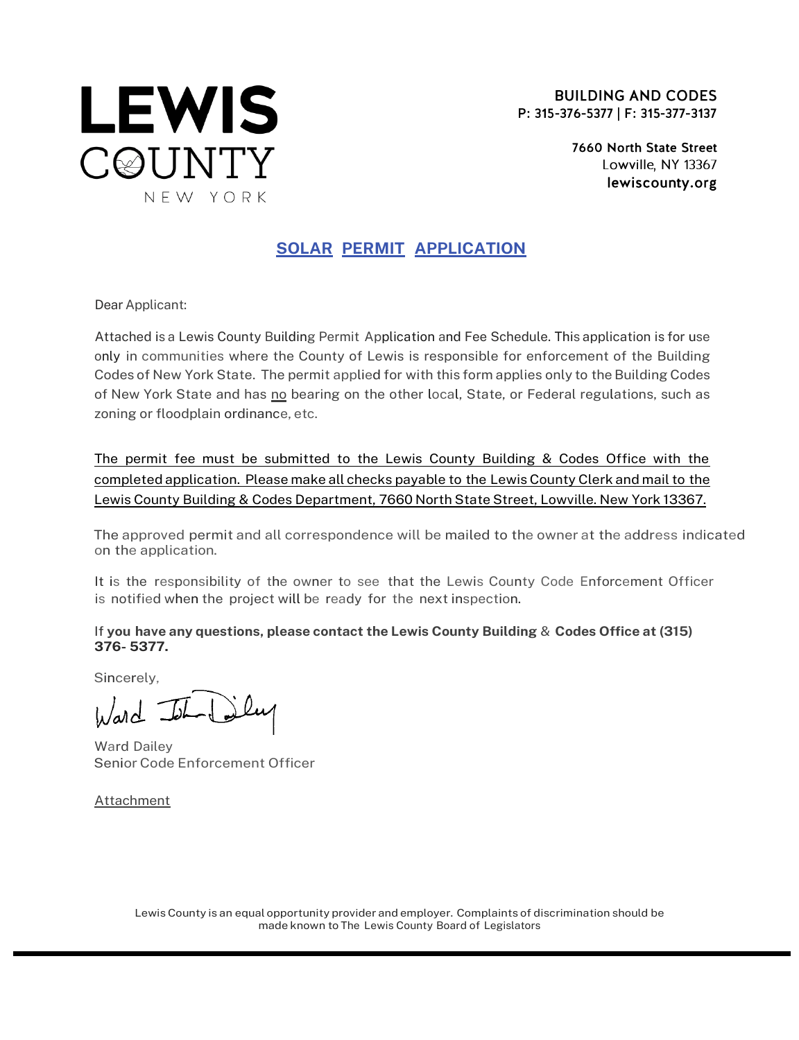

**BUILDING AND CODES** P: 315-376-5377 | F: 315-377-3137

> 7660 North State Street Lowville, NY 13367 lewiscounty.org

## SOLAR PERMIT APPLICATION

Dear Applicant:

Attached is a Lewis County Building Permit Application and Fee Schedule. This application is for use only in communities where the County of Lewis is responsible for enforcement of the Building Codes of New York State. The permit applied for with this form applies only to the Building Codes of New York State and has no bearing on the other local, State, or Federal regulations, such as zoning or floodplain ordinance, etc.

The permit fee must be submitted to the Lewis County Building & Codes Office with the completed application. Please make all checks payable to the Lewis County Clerk and mail to the Lewis County Building & Codes Department, 7660 North State Street, Lowville. New York 13367.

The approved permit and all correspondence will be mailed to the owner at the address indicated on the application.

It is the responsibility of the owner to see that the Lewis County Code Enforcement Officer is notified when the project will be ready for the next inspection.

If you have any questions, please contact the Lewis County Building & Codes Office at (315) 376- 5377.

Sincerely,

 $w$ ard  $=$ 

Ward Dailey Senior Code Enforcement Officer

**Attachment** 

Lewis County is an equal opportunity provider and employer. Complaints of discrimination should be made known to The Lewis County Board of Legislators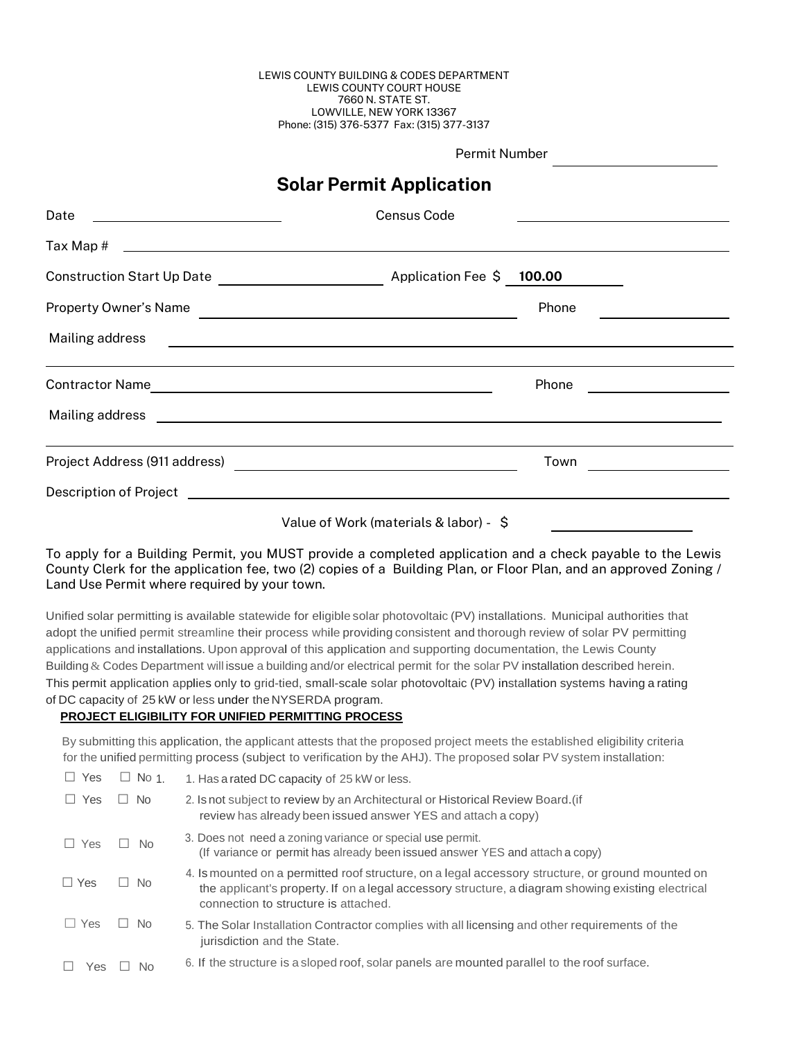#### LEWIS COUNTY BUILDING & CODES DEPARTMENT LEWIS COUNTY COURT HOUSE 7660 N. STATE ST. LOWVILLE, NEW YORK 13367 Phone: (315) 376-5377 Fax: (315) 377-3137

Permit Number

## Solar Permit Application

| Date<br><u> 1980 - Andrea Barbara, poeta esperanto-poeta esperanto-poeta esperanto-poeta esperanto-poeta esperanto-poeta</u> | Census Code                                                                                                          |       |  |
|------------------------------------------------------------------------------------------------------------------------------|----------------------------------------------------------------------------------------------------------------------|-------|--|
|                                                                                                                              |                                                                                                                      |       |  |
|                                                                                                                              |                                                                                                                      |       |  |
| Property Owner's Name                                                                                                        | <u> 1980 - Johann Barn, mars ann an t-Amhain Aonaich an t-Aonaich an t-Aonaich ann an t-Aonaich ann an t-Aonaich</u> | Phone |  |
| Mailing address                                                                                                              | <u> Alexandria de la contrada de la contrada de la contrada de la contrada de la contrada de la contrada de la c</u> |       |  |
|                                                                                                                              | <u> 1989 - Johann Stoff, amerikansk politiker (d. 1989)</u>                                                          | Phone |  |
|                                                                                                                              |                                                                                                                      |       |  |
|                                                                                                                              |                                                                                                                      | Town  |  |
|                                                                                                                              |                                                                                                                      |       |  |
|                                                                                                                              | Value of Work (materials & labor) - \$                                                                               |       |  |

To apply for a Building Permit, you MUST provide a completed application and a check payable to the Lewis County Clerk for the application fee, two (2) copies of a Building Plan, or Floor Plan, and an approved Zoning / Land Use Permit where required by your town.

Unified solar permitting is available statewide for eligible solar photovoltaic (PV) installations. Municipal authorities that adopt the unified permit streamline their process while providing consistent and thorough review of solar PV permitting applications and installations. Upon approval of this application and supporting documentation, the Lewis County Building & Codes Department will issue a building and/or electrical permit for the solar PV installation described herein. This permit application applies only to grid-tied, small-scale solar photovoltaic (PV) installation systems having a rating of DC capacity of 25 kW or less under the NYSERDA program.

### **PROJECT ELIGIBILITY FOR UNIFIED PERMITTING PROCESS**

By submitting this application, the applicant attests that the proposed project meets the established eligibility criteria for the unified permitting process (subject to verification by the AHJ). The proposed solar PV system installation:

| Yes        | $\Box$ No 1    | 1. Has a rated DC capacity of 25 kW or less.                                                                                                                                                                                                    |
|------------|----------------|-------------------------------------------------------------------------------------------------------------------------------------------------------------------------------------------------------------------------------------------------|
| Yes        | $\Box$ No      | 2. Is not subject to review by an Architectural or Historical Review Board.(if<br>review has already been issued answer YES and attach a copy)                                                                                                  |
| $\Box$ Yes | <b>No</b>      | 3. Does not need a zoning variance or special use permit.<br>(If variance or permit has already been issued answer YES and attach a copy)                                                                                                       |
| $\Box$ Yes | l No<br>$\Box$ | 4. Is mounted on a permitted roof structure, on a legal accessory structure, or ground mounted on<br>the applicant's property. If on a legal accessory structure, a diagram showing existing electrical<br>connection to structure is attached. |
| l Yes      | - No           | 5. The Solar Installation Contractor complies with all licensing and other requirements of the<br>jurisdiction and the State.                                                                                                                   |
| Yes        | Nο             | 6. If the structure is a sloped roof, solar panels are mounted parallel to the roof surface.                                                                                                                                                    |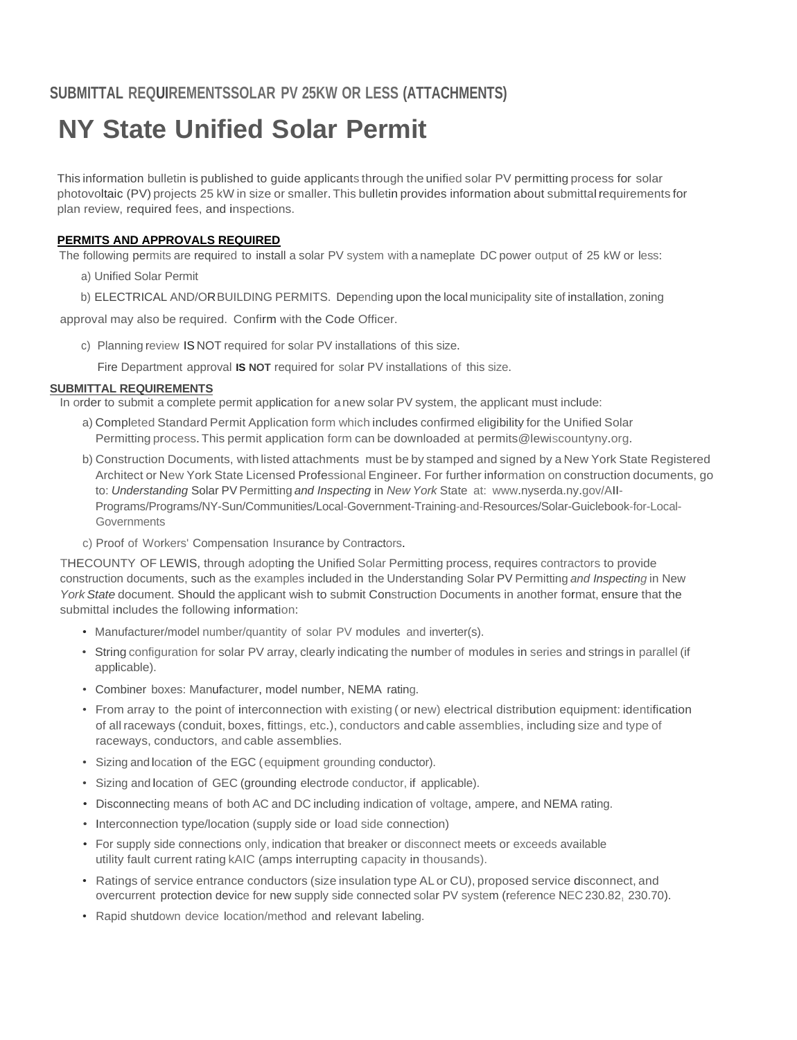# **NY State Unified Solar Permit**

This information bulletin is published to guide applicants through the unified solar PV permitting process for solar photovoltaic (PV) projects 25 kW in size or smaller. This bulletin provides information about submittal requirements for plan review, required fees, and inspections.

### **PERMITS AND APPROVALS REQUIRED**

The following permits are required to install a solar PV system with a nameplate DC power output of 25 kW or less:

- a) Unified Solar Permit
- b) ELECTRICAL AND/ORBUILDING PERMITS. Depending upon the local municipality site of installation, zoning

approval may also be required. Confirm with the Code Officer.

- c) Planning review IS NOT required for solar PV installations of this size.
	- Fire Department approval **IS NOT** required for solar PV installations of this size.

### **SUBMITTAL REQUIREMENTS**

In order to submit a complete permit application for anew solar PV system, the applicant must include:

- a) Completed Standard Permit Application form which includes confirmed eligibility for the Unified Solar Permitting process. This permit application form can be downloaded at [permits@lewiscountyny.org.](mailto:permits@lewiscountyny.org)
- b) Construction Documents, with listed attachments must be by stamped and signed by a New York State Registered Architect or New York State Licensed Professional Engineer. For further information on construction documents, go to: *Understanding* Solar PV Permitting *and Inspecting* in *New York* State at: [www.nyserda.ny.gov/AII-](http://www.nyserda.ny.gov/AII)Programs/Programs/NY-Sun/Communities/Local-Government-Training-and-Resources/Solar-Guiclebook-for-Local-**Governments**
- c) Proof of Workers' Compensation Insurance by Contractors.

THECOUNTY OF LEWIS, through adopting the Unified Solar Permitting process, requires contractors to provide construction documents, such as the examples included in the Understanding Solar PV Permitting *and Inspecting* in New *York State* document. Should the applicant wish to submit Construction Documents in another format, ensure that the submittal includes the following information:

- Manufacturer/model number/quantity of solar PV modules and inverter(s).
- String configuration for solar PV array, clearly indicating the number of modules in series and strings in parallel (if applicable).
- Combiner boxes: Manufacturer, model number, NEMA rating.
- From array to the point of interconnection with existing ( or new) electrical distribution equipment: identification of all raceways (conduit, boxes, fittings, etc.), conductors and cable assemblies, including size and type of raceways, conductors, and cable assemblies.
- Sizing and location of the EGC (equipment grounding conductor).
- Sizing and location of GEC (grounding electrode conductor, if applicable).
- Disconnecting means of both AC and DC including indication of voltage, ampere, and NEMA rating.
- Interconnection type/location (supply side or load side connection)
- For supply side connections only, indication that breaker or disconnect meets or exceeds available utility fault current rating kAIC (amps interrupting capacity in thousands).
- Ratings of service entrance conductors (size insulation type AL or CU), proposed service disconnect, and overcurrent protection device for new supply side connected solar PV system (reference NEC 230.82, 230.70).
- Rapid shutdown device location/method and relevant labeling.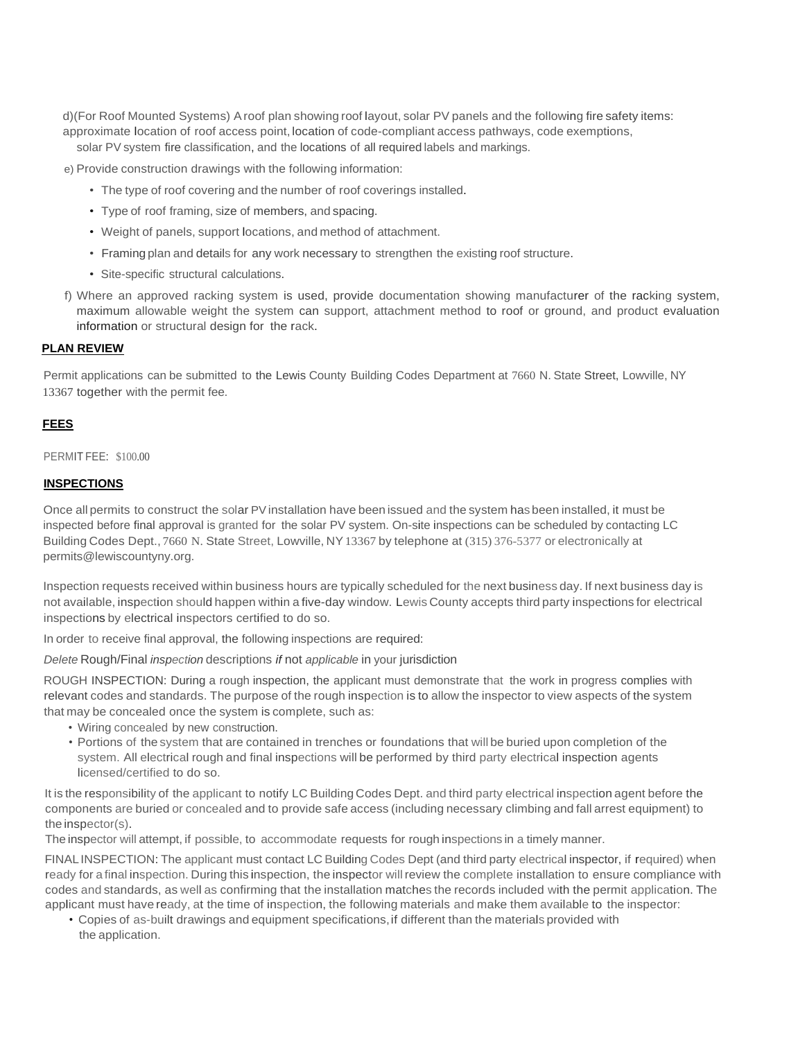d)(For Roof Mounted Systems) Aroof plan showing roof layout, solar PV panels and the following fire safety items: approximate location of roof access point, location of code-compliant access pathways, code exemptions,

solar PV system fire classification, and the locations of all required labels and markings.

e) Provide construction drawings with the following information:

- The type of roof covering and the number of roof coverings installed.
- Type of roof framing, size of members, and spacing.
- Weight of panels, support locations, and method of attachment.
- Framing plan and details for any work necessary to strengthen the existing roof structure.
- Site-specific structural calculations.
- f) Where an approved racking system is used, provide documentation showing manufacturer of the racking system, maximum allowable weight the system can support, attachment method to roof or ground, and product evaluation information or structural design for the rack.

### **PLAN REVIEW**

Permit applications can be submitted to the Lewis County Building Codes Department at 7660 N. State Street, Lowville, NY 13367 together with the permit fee.

### **FEES**

#### PERMIT FEE: \$100.00

### **INSPECTIONS**

Once all permits to construct the solar PVinstallation have been issued and the system has been installed, it must be inspected before final approval is granted for the solar PV system. On-site inspections can be scheduled by contacting LC Building Codes Dept., 7660 N. State Street, Lowville, NY13367 by telephone at (315) 376-5377 or electronically at [permits@lewiscountyny.org.](mailto:permits@lewiscountyny.org)

Inspection requests received within business hours are typically scheduled for the next business day. If next business day is not available, inspection should happen within a five-day window. Lewis County accepts third party inspections for electrical inspections by electrical inspectors certified to do so.

In order to receive final approval, the following inspections are required:

*Delete* Rough/Final *inspection* descriptions *if* not *applicable* in your jurisdiction

ROUGH INSPECTION: During a rough inspection, the applicant must demonstrate that the work in progress complies with relevant codes and standards. The purpose of the rough inspection is to allow the inspector to view aspects of the system that may be concealed once the system is complete, such as:

- Wiring concealed by new construction.
- Portions of the system that are contained in trenches or foundations that will be buried upon completion of the system. All electrical rough and final inspections will be performed by third party electrical inspection agents licensed/certified to do so.

It is the responsibility of the applicant to notify LC Building Codes Dept. and third party electrical inspection agent before the components are buried or concealed and to provide safe access (including necessary climbing and fall arrest equipment) to the inspector(s).

The inspector will attempt, if possible, to accommodate requests for rough inspections in a timely manner.

FINALINSPECTION: The applicant must contact LC Building Codes Dept (and third party electrical inspector, if required) when ready for a final inspection. During this inspection, the inspector will review the complete installation to ensure compliance with codes and standards, as well as confirming that the installation matches the records included with the permit application. The applicant must have ready, at the time of inspection, the following materials and make them available to the inspector:

• Copies of as-built drawings and equipment specifications,if different than the materials provided with the application.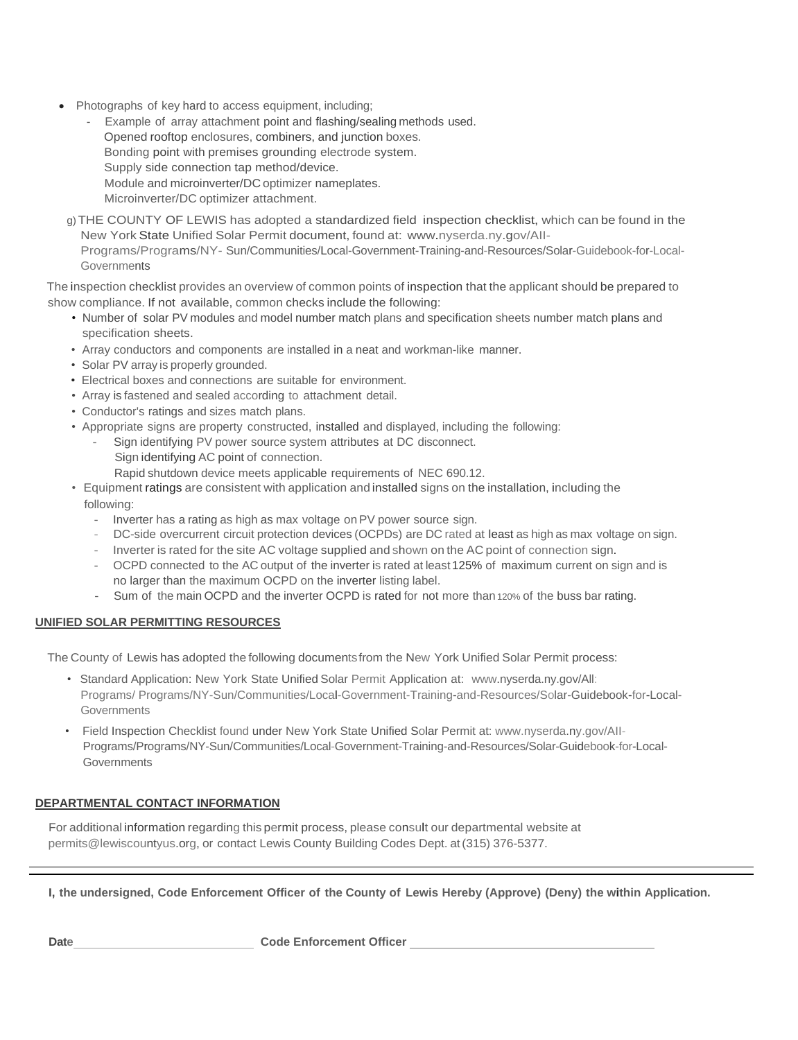- Photographs of key hard to access equipment, including;
	- Example of array attachment point and flashing/sealing methods used. Opened rooftop enclosures, combiners, and junction boxes. Bonding point with premises grounding electrode system. Supply side connection tap method/device. Module and microinverter/DC optimizer nameplates. Microinverter/DC optimizer attachment.
	- g)THE COUNTY OF LEWIS has adopted a standardized field inspection checklist, which can be found in the New York State Unified Solar Permit document, found at: [www.nyserda.ny.gov/AII-](http://www.nyserda.ny.gov/AII-Programs/Programs/NY)[Programs/Programs/NY-](http://www.nyserda.ny.gov/AII-Programs/Programs/NY) Sun/Communities/Local-Government-Training-and-Resources/Solar-Guidebook-for-Local-**Governments**

The inspection checklist provides an overview of common points of inspection that the applicant should be prepared to show compliance. If not available, common checks include the following:

- Number of solar PV modules and model number match plans and specification sheets number match plans and specification sheets.
- Array conductors and components are installed in a neat and workman-like manner.
- Solar PV array is properly grounded.
- Electrical boxes and connections are suitable for environment.
- Array is fastened and sealed according to attachment detail.
- Conductor's ratings and sizes match plans.
- Appropriate signs are property constructed, installed and displayed, including the following:
	- Sign identifying PV power source system attributes at DC disconnect. Sign identifying AC point of connection.
		- Rapid shutdown device meets applicable requirements of NEC 690.12.
- Equipment ratings are consistent with application and installed signs on the installation, including the following:
	- Inverter has a rating as high as max voltage on PV power source sign.
	- DC-side overcurrent circuit protection devices (OCPDs) are DC rated at least as high as max voltage on sign.
	- Inverter is rated for the site AC voltage supplied and shown on the AC point of connection sign.
	- OCPD connected to the AC output of the inverter is rated at least 125% of maximum current on sign and is no larger than the maximum OCPD on the inverter listing label.
	- Sum of the main OCPD and the inverter OCPD is rated for not more than 120% of the buss bar rating.

### **UNIFIED SOLAR PERMITTING RESOURCES**

The County of Lewis has adopted the following documentsfrom the New York Unified Solar Permit process:

- Standard Application: New York State Unified Solar Permit Application at: [www.nyserda.ny.gov/All:](http://www.nyserda.ny.gov/All) Programs/ Programs/NY-Sun/Communities/Local-Government-Training-and-Resources/Solar-Guidebook-for-Local-Governments
- Field Inspection Checklist found under New York State Unified Solar Permit at: [www.nyserda.ny.gov/AII-](http://www.nyserda.ny.gov/AII)Programs/Programs/NY-Sun/Communities/Local-Government-Training-and-Resources/Solar-Guidebook-for-Local-**Governments**

### **DEPARTMENTAL CONTACT INFORMATION**

For additional information regarding this permit process, please consult our departmental website at [permits@lewiscountyus.org,](mailto:permits@lewiscountyus.org) or contact Lewis County Building Codes Dept. at(315) 376-5377.

I, the undersigned, Code Enforcement Officer of the County of Lewis Hereby (Approve) (Deny) the within Application.

Date **Code Enforcement Officer Code Enforcement Officer**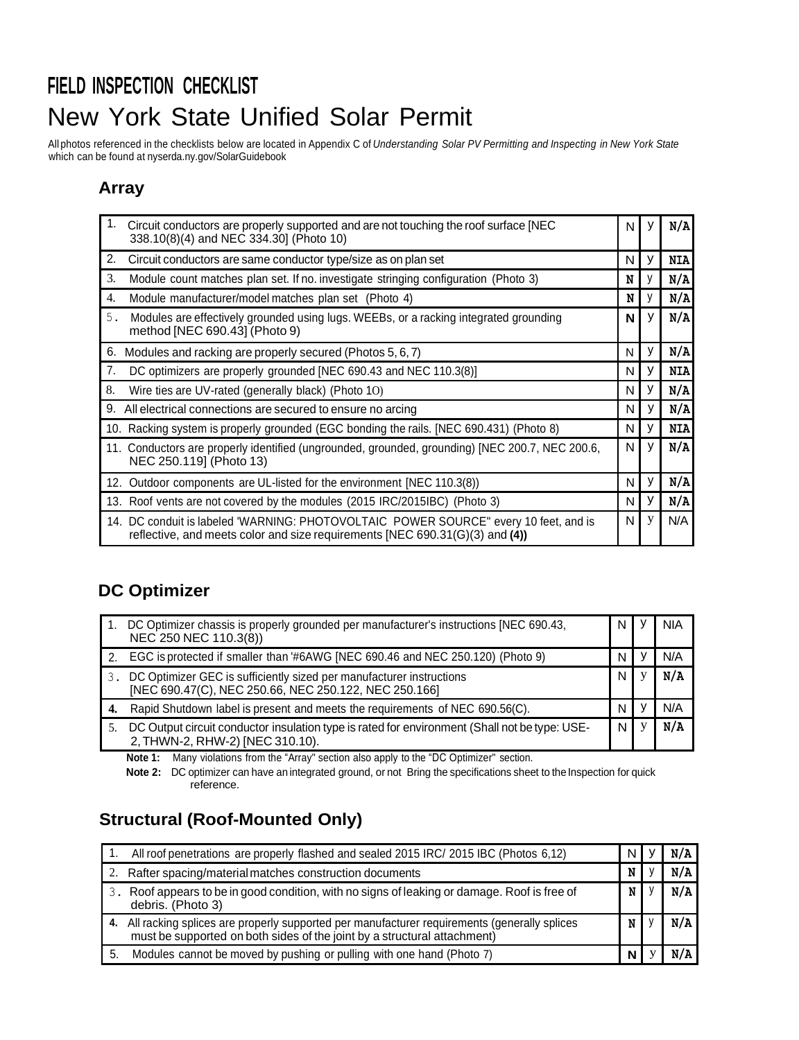# **FIELD INSPECTION CHECKLIST** New York State Unified Solar Permit

All photos referenced in the checklists below are located in Appendix C of *Understanding Solar PV Permitting and Inspecting in New York State* which can be found at nyserda.ny.gov/SolarGuidebook

## **Array**

| 1.<br>Circuit conductors are properly supported and are not touching the roof surface [NEC<br>338.10(8)(4) and NEC 334.30] (Photo 10)                                | N |   | N/A        |
|----------------------------------------------------------------------------------------------------------------------------------------------------------------------|---|---|------------|
| 2.<br>Circuit conductors are same conductor type/size as on plan set                                                                                                 | N | ۷ | <b>NIA</b> |
| 3.<br>Module count matches plan set. If no. investigate stringing configuration (Photo 3)                                                                            | N |   | N/A        |
| 4.<br>Module manufacturer/model matches plan set (Photo 4)                                                                                                           | N |   | N/A        |
| 5.<br>Modules are effectively grounded using lugs. WEEBs, or a racking integrated grounding<br>method [NEC 690.43] (Photo 9)                                         | N |   | N/A        |
| 6. Modules and racking are properly secured (Photos 5, 6, 7)                                                                                                         | N | ٧ | N/A        |
| 7.<br>DC optimizers are properly grounded [NEC 690.43 and NEC 110.3(8)]                                                                                              | N |   | <b>NIA</b> |
| 8.<br>Wire ties are UV-rated (generally black) (Photo 10)                                                                                                            | N |   | N/A        |
| 9. All electrical connections are secured to ensure no arcing                                                                                                        | N | У | N/A        |
| 10. Racking system is properly grounded (EGC bonding the rails. [NEC 690.431) (Photo 8)                                                                              | N | ۷ | <b>NIA</b> |
| 11. Conductors are properly identified (ungrounded, grounded, grounding) [NEC 200.7, NEC 200.6,<br>NEC 250.119] (Photo 13)                                           | N | ۷ | N/A        |
| 12. Outdoor components are UL-listed for the environment [NEC 110.3(8)]                                                                                              | N | y | N/A        |
| 13. Roof vents are not covered by the modules (2015 IRC/2015IBC) (Photo 3)                                                                                           | N | v | N/A        |
| 14. DC conduit is labeled 'WARNING: PHOTOVOLTAIC POWER SOURCE" every 10 feet, and is<br>reflective, and meets color and size requirements [NEC 690.31(G)(3) and (4)) | N | y | N/A        |

## **DC Optimizer**

|    | DC Optimizer chassis is properly grounded per manufacturer's instructions [NEC 690.43,<br>NEC 250 NEC 110.3(8))                  | N | <b>NIA</b> |
|----|----------------------------------------------------------------------------------------------------------------------------------|---|------------|
|    | 2. EGC is protected if smaller than '#6AWG [NEC 690.46 and NEC 250.120) (Photo 9)                                                | N | N/A        |
| 3. | DC Optimizer GEC is sufficiently sized per manufacturer instructions<br>[NEC 690.47(C), NEC 250.66, NEC 250.122, NEC 250.166]    | N | N/A        |
| 4. | Rapid Shutdown label is present and meets the requirements of NEC 690.56(C).                                                     | N | N/A        |
|    | DC Output circuit conductor insulation type is rated for environment (Shall not be type: USE-<br>2, THWN-2, RHW-2) [NEC 310.10). | N | N/A        |

**Note 1:** Many violations from the "Array" section also apply to the "DC Optimizer" section.

**Note 2:** DC optimizer can have an integrated ground, or not Bring the specifications sheet to the Inspection for quick reference.

## **Structural (Roof-Mounted Only)**

|     | All roof penetrations are properly flashed and sealed 2015 IRC/ 2015 IBC (Photos 6,12)                                                                                  | N | N/A |
|-----|-------------------------------------------------------------------------------------------------------------------------------------------------------------------------|---|-----|
|     | Rafter spacing/material matches construction documents                                                                                                                  | N | N/A |
|     | Roof appears to be in good condition, with no signs of leaking or damage. Roof is free of<br>debris. (Photo 3)                                                          | N | N/A |
| 4.  | All racking splices are properly supported per manufacturer requirements (generally splices<br>must be supported on both sides of the joint by a structural attachment) | N | N/A |
| -5. | Modules cannot be moved by pushing or pulling with one hand (Photo 7)                                                                                                   | N |     |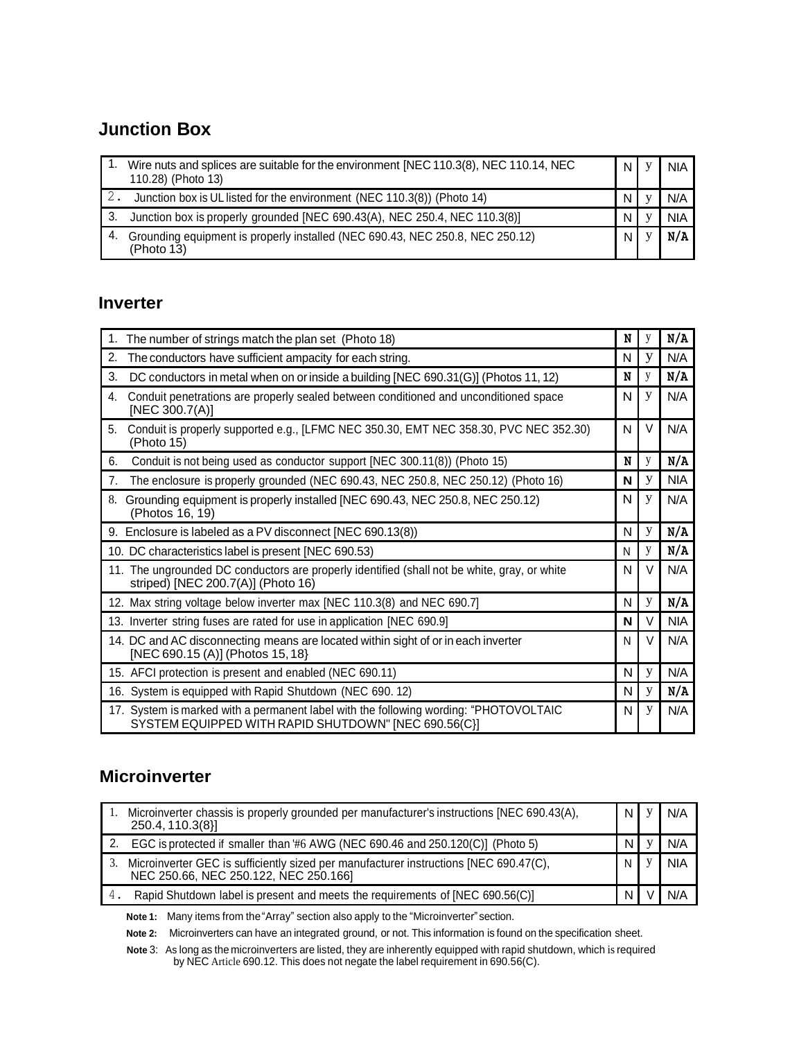## **Junction Box**

|    | Wire nuts and splices are suitable for the environment [NEC 110.3(8), NEC 110.14, NEC<br>110.28) (Photo 13) | N | <b>NIA</b> |
|----|-------------------------------------------------------------------------------------------------------------|---|------------|
|    | Junction box is UL listed for the environment (NEC 110.3(8)) (Photo 14)                                     | N | N/A        |
|    | Junction box is properly grounded [NEC 690.43(A), NEC 250.4, NEC 110.3(8)]                                  | N | <b>NIA</b> |
| 4. | Grounding equipment is properly installed (NEC 690.43, NEC 250.8, NEC 250.12)<br>(Photo 13)                 | N | N/A        |

### **Inverter**

| 1.             | The number of strings match the plan set (Photo 18)                                                                                           | N | у | N/A        |
|----------------|-----------------------------------------------------------------------------------------------------------------------------------------------|---|---|------------|
| 2.             | The conductors have sufficient ampacity for each string.                                                                                      | N | у | N/A        |
| 3.             | DC conductors in metal when on or inside a building [NEC 690.31(G)] (Photos 11, 12)                                                           | N | y | N/A        |
| 4.             | Conduit penetrations are properly sealed between conditioned and unconditioned space<br>[NEC 300.7(A)]                                        | N | y | N/A        |
| 5.             | Conduit is properly supported e.g., [LFMC NEC 350.30, EMT NEC 358.30, PVC NEC 352.30)<br>(Photo 15)                                           | N | V | N/A        |
| 6.             | Conduit is not being used as conductor support [NEC 300.11(8)) (Photo 15)                                                                     | N | y | N/A        |
| 7 <sub>1</sub> | The enclosure is properly grounded (NEC 690.43, NEC 250.8, NEC 250.12) (Photo 16)                                                             | N | у | <b>NIA</b> |
|                | Grounding equipment is properly installed [NEC 690.43, NEC 250.8, NEC 250.12)<br>(Photos 16, 19)                                              | N | у | N/A        |
|                | 9. Enclosure is labeled as a PV disconnect [NEC 690.13(8))                                                                                    | N | y | N/A        |
|                | 10. DC characteristics label is present [NEC 690.53)                                                                                          | N | y | N/A        |
|                | 11. The ungrounded DC conductors are properly identified (shall not be white, gray, or white<br>striped) [NEC 200.7(A)] (Photo 16)            | N | V | N/A        |
|                | 12. Max string voltage below inverter max [NEC 110.3(8) and NEC 690.7]                                                                        | N | y | N/A        |
|                | 13. Inverter string fuses are rated for use in application [NEC 690.9]                                                                        | N | V | <b>NIA</b> |
|                | 14. DC and AC disconnecting means are located within sight of or in each inverter<br>[NEC 690.15 (A)] (Photos 15, 18)                         | N | V | N/A        |
|                | 15. AFCI protection is present and enabled (NEC 690.11)                                                                                       | N | y | N/A        |
|                | 16. System is equipped with Rapid Shutdown (NEC 690.12)                                                                                       | N | y | N/A        |
|                | 17. System is marked with a permanent label with the following wording: "PHOTOVOLTAIC<br>SYSTEM EQUIPPED WITH RAPID SHUTDOWN" [NEC 690.56(C)] | N | y | N/A        |

### **Microinverter**

|    | Microinverter chassis is properly grounded per manufacturer's instructions [NEC 690.43(A),<br>250.4, 110.3(8)]                 | N | N/A        |
|----|--------------------------------------------------------------------------------------------------------------------------------|---|------------|
|    | EGC is protected if smaller than #6 AWG (NEC 690.46 and 250.120(C)] (Photo 5)                                                  | N | N/A        |
| 3. | Microinverter GEC is sufficiently sized per manufacturer instructions [NEC 690.47(C),<br>NEC 250.66, NEC 250.122, NEC 250.166] | N | <b>NIA</b> |
|    | Rapid Shutdown label is present and meets the requirements of [NEC 690.56(C)]                                                  | N | N/A        |

**Note 1:** Many items from the"Array" section also apply to the "Microinverter"section.

**Note 2:** Microinverters can have an integrated ground, or not. This information is found on the specification sheet.

**Note** 3: As long as the microinverters are listed, they are inherently equipped with rapid shutdown, which isrequired by NEC Article 690.12. This does not negate the label requirement in 690.56(C).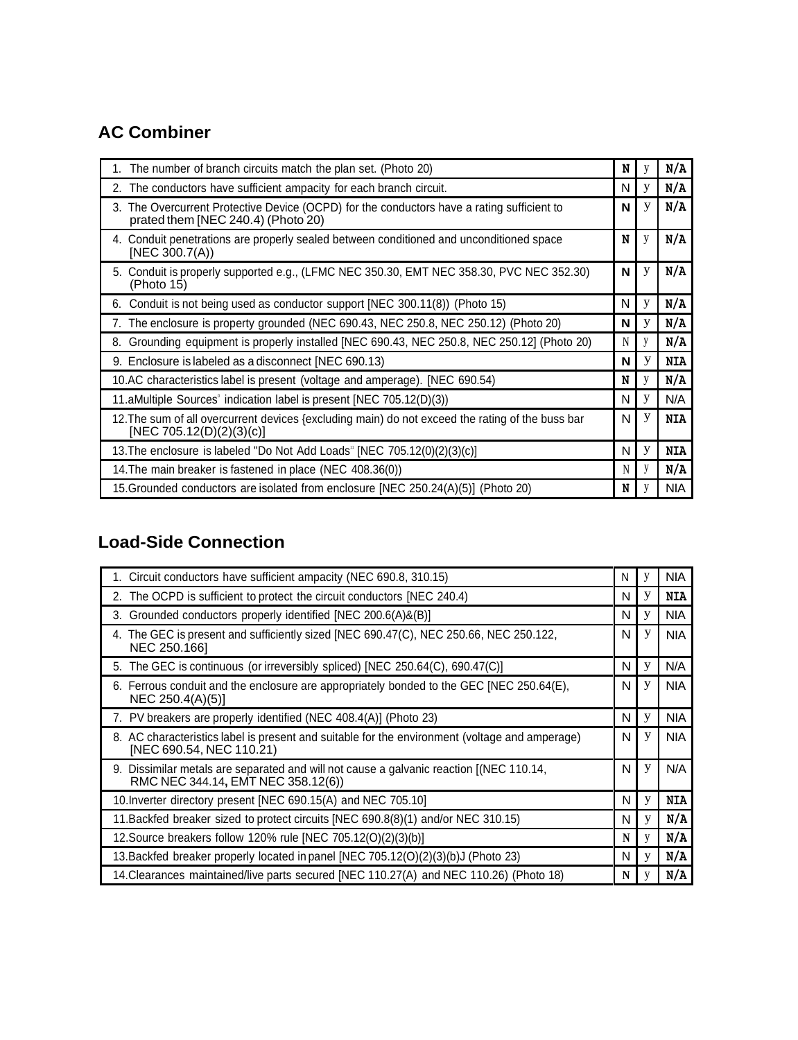## **AC Combiner**

| 1. The number of branch circuits match the plan set. (Photo 20)                                                                  | N | y | N/A        |
|----------------------------------------------------------------------------------------------------------------------------------|---|---|------------|
| 2. The conductors have sufficient ampacity for each branch circuit.                                                              | N | У | N/A        |
| 3. The Overcurrent Protective Device (OCPD) for the conductors have a rating sufficient to<br>prated them [NEC 240.4) (Photo 20) | N | У | N/A        |
| 4. Conduit penetrations are properly sealed between conditioned and unconditioned space<br>[NEC 300.7(A))                        | N | y | N/A        |
| 5. Conduit is properly supported e.g., (LFMC NEC 350.30, EMT NEC 358.30, PVC NEC 352.30)<br>(Photo 15)                           | N | У | N/A        |
| 6. Conduit is not being used as conductor support [NEC 300.11(8)] (Photo 15)                                                     | N | y | N/A        |
| 7. The enclosure is property grounded (NEC 690.43, NEC 250.8, NEC 250.12) (Photo 20)                                             | N | у | N/A        |
| 8. Grounding equipment is properly installed [NEC 690.43, NEC 250.8, NEC 250.12] (Photo 20)                                      | N | y | N/A        |
| 9. Enclosure is labeled as a disconnect [NEC 690.13)                                                                             | N | У | <b>NIA</b> |
| 10.AC characteristics label is present (voltage and amperage). [NEC 690.54)                                                      | N | y | N/A        |
| 11. aMultiple Sources indication label is present [NEC 705.12(D)(3))                                                             | N | y | N/A        |
| 12. The sum of all overcurrent devices {excluding main) do not exceed the rating of the buss bar<br>[NEC 705.12(D)(2)(3)(c)]     | N | У | <b>NIA</b> |
| 13. The enclosure is labeled "Do Not Add Loads" [NEC 705.12(0)(2)(3)(c)]                                                         | N | y | <b>NIA</b> |
| 14. The main breaker is fastened in place (NEC 408.36(0))                                                                        | N | y | N/A        |
| 15. Grounded conductors are isolated from enclosure [NEC 250.24(A)(5)] (Photo 20)                                                | N |   | <b>NIA</b> |

## **Load-Side Connection**

| 1. Circuit conductors have sufficient ampacity (NEC 690.8, 310.15)                                                            | N | V | <b>NIA</b> |
|-------------------------------------------------------------------------------------------------------------------------------|---|---|------------|
| 2. The OCPD is sufficient to protect the circuit conductors [NEC 240.4)                                                       | N | у | <b>NIA</b> |
| 3. Grounded conductors properly identified [NEC 200.6(A)&(B)]                                                                 | N | у | <b>NIA</b> |
| 4. The GEC is present and sufficiently sized [NEC 690.47(C), NEC 250.66, NEC 250.122,<br>NEC 250.166]                         | N | у | <b>NIA</b> |
| 5. The GEC is continuous (or irreversibly spliced) [NEC 250.64(C), 690.47(C)]                                                 | N | у | N/A        |
| 6. Ferrous conduit and the enclosure are appropriately bonded to the GEC [NEC 250.64(E),<br>NEC 250.4(A)(5)]                  | N | У | <b>NIA</b> |
| 7. PV breakers are properly identified (NEC 408.4(A)] (Photo 23)                                                              | N | У | <b>NIA</b> |
| 8. AC characteristics label is present and suitable for the environment (voltage and amperage)<br>[NEC 690.54, NEC 110.21)    | N | у | <b>NIA</b> |
| 9. Dissimilar metals are separated and will not cause a galvanic reaction [(NEC 110.14,<br>RMC NEC 344.14, EMT NEC 358.12(6)) | N | У | N/A        |
| 10. Inverter directory present [NEC 690.15(A) and NEC 705.10]                                                                 | N | y | <b>NIA</b> |
| 11. Backfed breaker sized to protect circuits [NEC 690.8(8)(1) and/or NEC 310.15)                                             | N | y | N/A        |
| 12. Source breakers follow 120% rule [NEC 705.12(O)(2)(3)(b)]                                                                 | N | V | N/A        |
| 13. Backfed breaker properly located in panel [NEC 705.12(O)(2)(3)(b)J (Photo 23)                                             | N | y | N/A        |
| 14. Clearances maintained/live parts secured [NEC 110.27(A) and NEC 110.26) (Photo 18)                                        | N |   | N/A        |